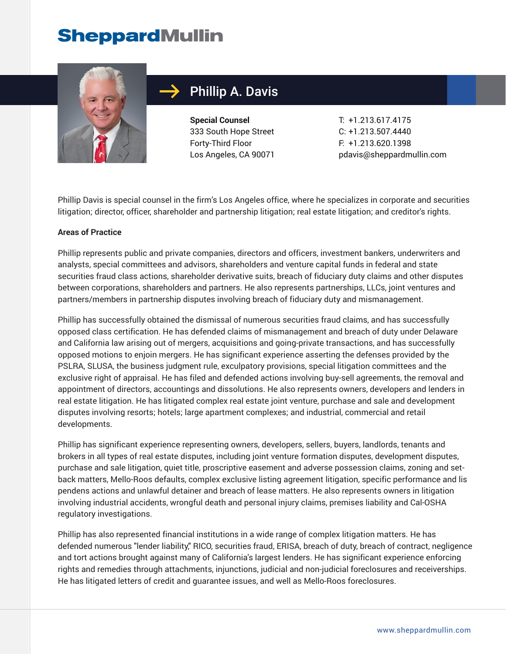# **SheppardMullin**



## Phillip A. Davis

**Special Counsel** 333 South Hope Street Forty-Third Floor Los Angeles, CA 90071

T: +1.213.617.4175 C: +1.213.507.4440 F: +1.213.620.1398 pdavis@sheppardmullin.com

Phillip Davis is special counsel in the firm's Los Angeles office, where he specializes in corporate and securities litigation; director, officer, shareholder and partnership litigation; real estate litigation; and creditor's rights.

#### **Areas of Practice**

Phillip represents public and private companies, directors and officers, investment bankers, underwriters and analysts, special committees and advisors, shareholders and venture capital funds in federal and state securities fraud class actions, shareholder derivative suits, breach of fiduciary duty claims and other disputes between corporations, shareholders and partners. He also represents partnerships, LLCs, joint ventures and partners/members in partnership disputes involving breach of fiduciary duty and mismanagement.

Phillip has successfully obtained the dismissal of numerous securities fraud claims, and has successfully opposed class certification. He has defended claims of mismanagement and breach of duty under Delaware and California law arising out of mergers, acquisitions and going-private transactions, and has successfully opposed motions to enjoin mergers. He has significant experience asserting the defenses provided by the PSLRA, SLUSA, the business judgment rule, exculpatory provisions, special litigation committees and the exclusive right of appraisal. He has filed and defended actions involving buy-sell agreements, the removal and appointment of directors, accountings and dissolutions. He also represents owners, developers and lenders in real estate litigation. He has litigated complex real estate joint venture, purchase and sale and development disputes involving resorts; hotels; large apartment complexes; and industrial, commercial and retail developments.

Phillip has significant experience representing owners, developers, sellers, buyers, landlords, tenants and brokers in all types of real estate disputes, including joint venture formation disputes, development disputes, purchase and sale litigation, quiet title, proscriptive easement and adverse possession claims, zoning and setback matters, Mello-Roos defaults, complex exclusive listing agreement litigation, specific performance and lis pendens actions and unlawful detainer and breach of lease matters. He also represents owners in litigation involving industrial accidents, wrongful death and personal injury claims, premises liability and Cal-OSHA regulatory investigations.

Phillip has also represented financial institutions in a wide range of complex litigation matters. He has defended numerous "lender liability," RICO, securities fraud, ERISA, breach of duty, breach of contract, negligence and tort actions brought against many of California's largest lenders. He has significant experience enforcing rights and remedies through attachments, injunctions, judicial and non-judicial foreclosures and receiverships. He has litigated letters of credit and guarantee issues, and well as Mello-Roos foreclosures.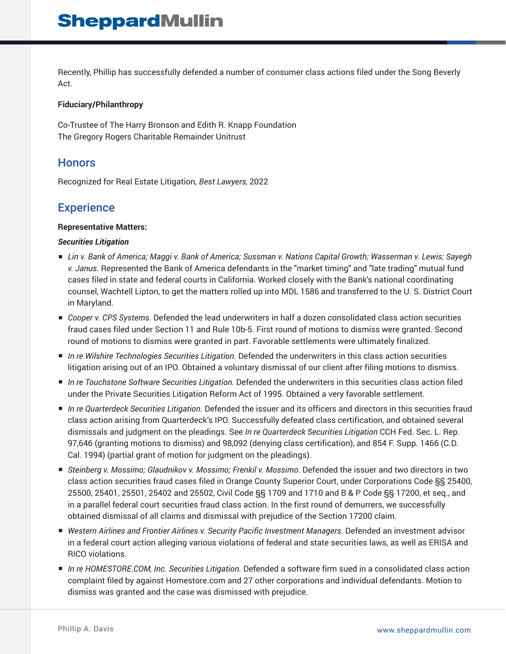Recently, Phillip has successfully defended a number of consumer class actions filed under the Song Beverly Act.

#### **Fiduciary/Philanthropy**

Co-Trustee of The Harry Bronson and Edith R. Knapp Foundation The Gregory Rogers Charitable Remainder Unitrust

## **Honors**

Recognized for Real Estate Litigation, *Best Lawyers,* 2022

## **Experience**

#### **Representative Matters:**

#### *Securities Litigation*

- *Lin v. Bank of America; Maggi v. Bank of America; Sussman v. Nations Capital Growth; Wasserman v. Lewis; Sayegh v. Janus*. Represented the Bank of America defendants in the "market timing" and "late trading" mutual fund cases filed in state and federal courts in California. Worked closely with the Bank's national coordinating counsel, Wachtell Lipton, to get the matters rolled up into MDL 1586 and transferred to the U. S. District Court in Maryland.
- *Cooper v. CPS Systems.* Defended the lead underwriters in half a dozen consolidated class action securities fraud cases filed under Section 11 and Rule 10b-5. First round of motions to dismiss were granted. Second round of motions to dismiss were granted in part. Favorable settlements were ultimately finalized.
- *In re Wilshire Technologies Securities Litigation*. Defended the underwriters in this class action securities litigation arising out of an IPO. Obtained a voluntary dismissal of our client after filing motions to dismiss.
- *In re Touchstone Software Securities Litigation*. Defended the underwriters in this securities class action filed under the Private Securities Litigation Reform Act of 1995. Obtained a very favorable settlement.
- *In re Quarterdeck Securities Litigation*. Defended the issuer and its officers and directors in this securities fraud class action arising from Quarterdeck's IPO. Successfully defeated class certification, and obtained several dismissals and judgment on the pleadings. See *In re Quarterdeck Securities Litigation* CCH Fed. Sec. L. Rep. 97,646 (granting motions to dismiss) and 98,092 (denying class certification), and 854 F. Supp. 1466 (C.D. Cal. 1994) (partial grant of motion for judgment on the pleadings).
- *Steinberg v. Mossimo; Glaudnikov v. Mossimo; Frenkil v. Mossimo. Defended the issuer and two directors in two* class action securities fraud cases filed in Orange County Superior Court, under Corporations Code §§ 25400, 25500, 25401, 25501, 25402 and 25502, Civil Code §§ 1709 and 1710 and B & P Code §§ 17200, et seq., and in a parallel federal court securities fraud class action. In the first round of demurrers, we successfully obtained dismissal of all claims and dismissal with prejudice of the Section 17200 claim.
- Western Airlines and Frontier Airlines v. Security Pacific Investment Managers. Defended an investment advisor in a federal court action alleging various violations of federal and state securities laws, as well as ERISA and RICO violations.
- *In re HOMESTORE.COM, Inc. Securities Litigation.* Defended a software firm sued in a consolidated class action complaint filed by against Homestore.com and 27 other corporations and individual defendants. Motion to dismiss was granted and the case was dismissed with prejudice.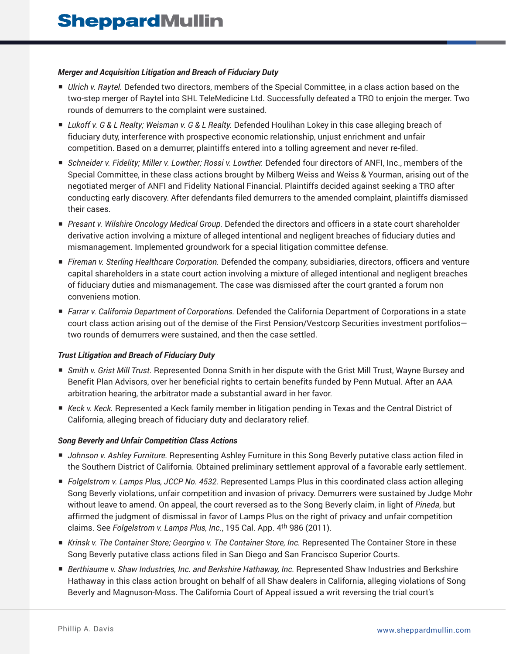#### *Merger and Acquisition Litigation and Breach of Fiduciary Duty*

- *Ulrich v. Raytel.* Defended two directors, members of the Special Committee, in a class action based on the two-step merger of Raytel into SHL TeleMedicine Ltd. Successfully defeated a TRO to enjoin the merger. Two rounds of demurrers to the complaint were sustained.
- *Lukoff v. G & L Realty; Weisman v. G & L Realty.* Defended Houlihan Lokey in this case alleging breach of fiduciary duty, interference with prospective economic relationship, unjust enrichment and unfair competition. Based on a demurrer, plaintiffs entered into a tolling agreement and never re-filed.
- *Schneider v. Fidelity; Miller v. Lowther; Rossi v. Lowther.* Defended four directors of ANFI, Inc., members of the Special Committee, in these class actions brought by Milberg Weiss and Weiss & Yourman, arising out of the negotiated merger of ANFI and Fidelity National Financial. Plaintiffs decided against seeking a TRO after conducting early discovery. After defendants filed demurrers to the amended complaint, plaintiffs dismissed their cases.
- *Presant v. Wilshire Oncology Medical Group.* Defended the directors and officers in a state court shareholder derivative action involving a mixture of alleged intentional and negligent breaches of fiduciary duties and mismanagement. Implemented groundwork for a special litigation committee defense.
- *Fireman v. Sterling Healthcare Corporation.* Defended the company, subsidiaries, directors, officers and venture capital shareholders in a state court action involving a mixture of alleged intentional and negligent breaches of fiduciary duties and mismanagement. The case was dismissed after the court granted a forum non conveniens motion.
- *Farrar v. California Department of Corporations.* Defended the California Department of Corporations in a state court class action arising out of the demise of the First Pension/Vestcorp Securities investment portfolios two rounds of demurrers were sustained, and then the case settled.

#### *Trust Litigation and Breach of Fiduciary Duty*

- *Smith v. Grist Mill Trust.* Represented Donna Smith in her dispute with the Grist Mill Trust, Wayne Bursey and Benefit Plan Advisors, over her beneficial rights to certain benefits funded by Penn Mutual. After an AAA arbitration hearing, the arbitrator made a substantial award in her favor.
- *Keck v. Keck.* Represented a Keck family member in litigation pending in Texas and the Central District of California, alleging breach of fiduciary duty and declaratory relief.

#### *Song Beverly and Unfair Competition Class Actions*

- *Johnson v. Ashley Furniture.* Representing Ashley Furniture in this Song Beverly putative class action filed in the Southern District of California. Obtained preliminary settlement approval of a favorable early settlement.
- *Folgelstrom v. Lamps Plus, JCCP No. 4532.* Represented Lamps Plus in this coordinated class action alleging Song Beverly violations, unfair competition and invasion of privacy. Demurrers were sustained by Judge Mohr without leave to amend. On appeal, the court reversed as to the Song Beverly claim, in light of *Pineda*, but affirmed the judgment of dismissal in favor of Lamps Plus on the right of privacy and unfair competition claims. See *Folgelstrom v. Lamps Plus, Inc*., 195 Cal. App. 4th 986 (2011).
- *Krinsk v. The Container Store; Georgino v. The Container Store, Inc. Represented The Container Store in these* Song Beverly putative class actions filed in San Diego and San Francisco Superior Courts.
- *Berthiaume v. Shaw Industries, Inc. and Berkshire Hathaway, Inc. Represented Shaw Industries and Berkshire* Hathaway in this class action brought on behalf of all Shaw dealers in California, alleging violations of Song Beverly and Magnuson-Moss. The California Court of Appeal issued a writ reversing the trial court's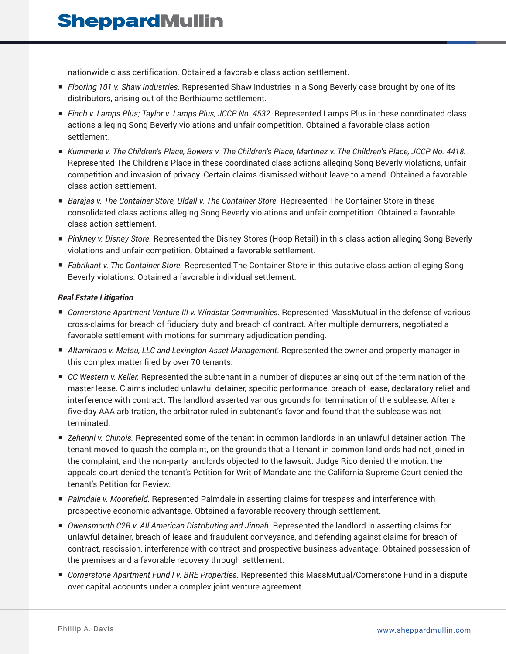nationwide class certification. Obtained a favorable class action settlement.

- *Flooring 101 v. Shaw Industries.* Represented Shaw Industries in a Song Beverly case brought by one of its distributors, arising out of the Berthiaume settlement.
- *Finch v. Lamps Plus; Taylor v. Lamps Plus, JCCP No. 4532.* Represented Lamps Plus in these coordinated class actions alleging Song Beverly violations and unfair competition. Obtained a favorable class action settlement.
- *Kummerle v. The Children's Place, Bowers v. The Children's Place, Martinez v. The Children's Place, JCCP No. 4418.* Represented The Children's Place in these coordinated class actions alleging Song Beverly violations, unfair competition and invasion of privacy. Certain claims dismissed without leave to amend. Obtained a favorable class action settlement.
- *Barajas v. The Container Store, Uldall v. The Container Store.* Represented The Container Store in these consolidated class actions alleging Song Beverly violations and unfair competition. Obtained a favorable class action settlement.
- *Pinkney v. Disney Store.* Represented the Disney Stores (Hoop Retail) in this class action alleging Song Beverly violations and unfair competition. Obtained a favorable settlement.
- *Fabrikant v. The Container Store.* Represented The Container Store in this putative class action alleging Song Beverly violations. Obtained a favorable individual settlement.

#### *Real Estate Litigation*

- *Cornerstone Apartment Venture III v. Windstar Communities.* Represented MassMutual in the defense of various cross-claims for breach of fiduciary duty and breach of contract. After multiple demurrers, negotiated a favorable settlement with motions for summary adjudication pending.
- *Altamirano v. Matsu, LLC and Lexington Asset Management*. Represented the owner and property manager in this complex matter filed by over 70 tenants.
- *CC Western v. Keller.* Represented the subtenant in a number of disputes arising out of the termination of the master lease. Claims included unlawful detainer, specific performance, breach of lease, declaratory relief and interference with contract. The landlord asserted various grounds for termination of the sublease. After a five-day AAA arbitration, the arbitrator ruled in subtenant's favor and found that the sublease was not terminated.
- *Zehenni v. Chinois.* Represented some of the tenant in common landlords in an unlawful detainer action. The tenant moved to quash the complaint, on the grounds that all tenant in common landlords had not joined in the complaint, and the non-party landlords objected to the lawsuit. Judge Rico denied the motion, the appeals court denied the tenant's Petition for Writ of Mandate and the California Supreme Court denied the tenant's Petition for Review.
- *Palmdale v. Moorefield.* Represented Palmdale in asserting claims for trespass and interference with prospective economic advantage. Obtained a favorable recovery through settlement.
- *Owensmouth C2B v. All American Distributing and Jinnah.* Represented the landlord in asserting claims for unlawful detainer, breach of lease and fraudulent conveyance, and defending against claims for breach of contract, rescission, interference with contract and prospective business advantage. Obtained possession of the premises and a favorable recovery through settlement.
- *Cornerstone Apartment Fund I v. BRE Properties.* Represented this MassMutual/Cornerstone Fund in a dispute over capital accounts under a complex joint venture agreement.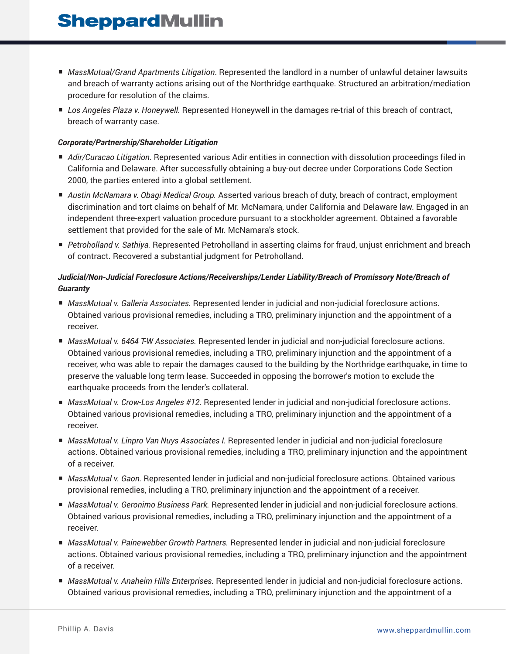## **SheppardMullin**

- *MassMutual/Grand Apartments Litigation*. Represented the landlord in a number of unlawful detainer lawsuits and breach of warranty actions arising out of the Northridge earthquake. Structured an arbitration/mediation procedure for resolution of the claims.
- *Los Angeles Plaza v. Honeywell.* Represented Honeywell in the damages re-trial of this breach of contract, breach of warranty case.

#### *Corporate/Partnership/Shareholder Litigation*

- *Adir/Curacao Litigation.* Represented various Adir entities in connection with dissolution proceedings filed in California and Delaware. After successfully obtaining a buy-out decree under Corporations Code Section 2000, the parties entered into a global settlement.
- *Austin McNamara v. Obagi Medical Group.* Asserted various breach of duty, breach of contract, employment discrimination and tort claims on behalf of Mr. McNamara, under California and Delaware law. Engaged in an independent three-expert valuation procedure pursuant to a stockholder agreement. Obtained a favorable settlement that provided for the sale of Mr. McNamara's stock.
- *Petroholland v. Sathiya.* Represented Petroholland in asserting claims for fraud, unjust enrichment and breach of contract. Recovered a substantial judgment for Petroholland.

#### *Judicial/Non-Judicial Foreclosure Actions/Receiverships/Lender Liability/Breach of Promissory Note/Breach of Guaranty*

- *MassMutual v. Galleria Associates.* Represented lender in judicial and non-judicial foreclosure actions. Obtained various provisional remedies, including a TRO, preliminary injunction and the appointment of a receiver.
- *MassMutual v. 6464 T-W Associates.* Represented lender in judicial and non-judicial foreclosure actions. Obtained various provisional remedies, including a TRO, preliminary injunction and the appointment of a receiver, who was able to repair the damages caused to the building by the Northridge earthquake, in time to preserve the valuable long term lease. Succeeded in opposing the borrower's motion to exclude the earthquake proceeds from the lender's collateral.
- *MassMutual v. Crow-Los Angeles #12.* Represented lender in judicial and non-judicial foreclosure actions. Obtained various provisional remedies, including a TRO, preliminary injunction and the appointment of a receiver.
- *MassMutual v. Linpro Van Nuys Associates I.* Represented lender in judicial and non-judicial foreclosure actions. Obtained various provisional remedies, including a TRO, preliminary injunction and the appointment of a receiver.
- *MassMutual v. Gaon.* Represented lender in judicial and non-judicial foreclosure actions. Obtained various provisional remedies, including a TRO, preliminary injunction and the appointment of a receiver.
- *MassMutual v. Geronimo Business Park.* Represented lender in judicial and non-judicial foreclosure actions. Obtained various provisional remedies, including a TRO, preliminary injunction and the appointment of a receiver.
- *MassMutual v. Painewebber Growth Partners.* Represented lender in judicial and non-judicial foreclosure actions. Obtained various provisional remedies, including a TRO, preliminary injunction and the appointment of a receiver.
- *MassMutual v. Anaheim Hills Enterprises.* Represented lender in judicial and non-judicial foreclosure actions. Obtained various provisional remedies, including a TRO, preliminary injunction and the appointment of a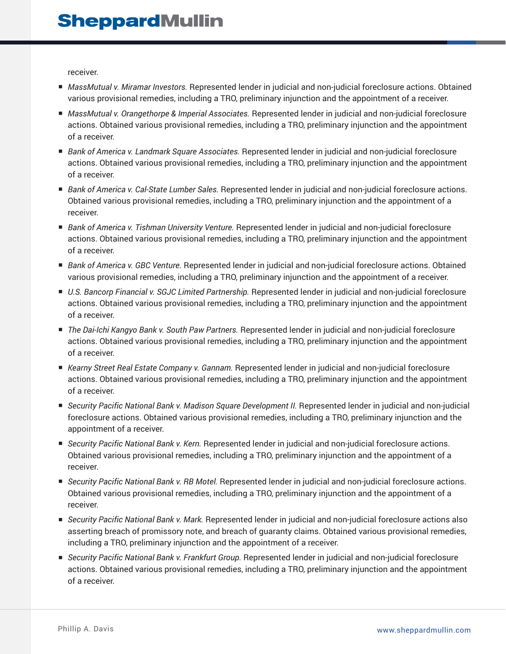receiver.

- *MassMutual v. Miramar Investors.* Represented lender in judicial and non-judicial foreclosure actions. Obtained various provisional remedies, including a TRO, preliminary injunction and the appointment of a receiver.
- *MassMutual v. Orangethorpe & Imperial Associates.* Represented lender in judicial and non-judicial foreclosure actions. Obtained various provisional remedies, including a TRO, preliminary injunction and the appointment of a receiver.
- *Bank of America v. Landmark Square Associates.* Represented lender in judicial and non-judicial foreclosure actions. Obtained various provisional remedies, including a TRO, preliminary injunction and the appointment of a receiver.
- *Bank of America v. Cal-State Lumber Sales.* Represented lender in judicial and non-judicial foreclosure actions. Obtained various provisional remedies, including a TRO, preliminary injunction and the appointment of a receiver.
- *Bank of America v. Tishman University Venture.* Represented lender in judicial and non-judicial foreclosure actions. Obtained various provisional remedies, including a TRO, preliminary injunction and the appointment of a receiver.
- *Bank of America v. GBC Venture.* Represented lender in judicial and non-judicial foreclosure actions. Obtained various provisional remedies, including a TRO, preliminary injunction and the appointment of a receiver.
- *U.S. Bancorp Financial v. SGJC Limited Partnership.* Represented lender in judicial and non-judicial foreclosure actions. Obtained various provisional remedies, including a TRO, preliminary injunction and the appointment of a receiver.
- *The Dai-Ichi Kangyo Bank v. South Paw Partners.* Represented lender in judicial and non-judicial foreclosure actions. Obtained various provisional remedies, including a TRO, preliminary injunction and the appointment of a receiver.
- *Kearny Street Real Estate Company v. Gannam.* Represented lender in judicial and non-judicial foreclosure actions. Obtained various provisional remedies, including a TRO, preliminary injunction and the appointment of a receiver.
- *Security Pacific National Bank v. Madison Square Development II.* Represented lender in judicial and non-judicial foreclosure actions. Obtained various provisional remedies, including a TRO, preliminary injunction and the appointment of a receiver.
- *Security Pacific National Bank v. Kern.* Represented lender in judicial and non-judicial foreclosure actions. Obtained various provisional remedies, including a TRO, preliminary injunction and the appointment of a receiver.
- *Security Pacific National Bank v. RB Motel.* Represented lender in judicial and non-judicial foreclosure actions. Obtained various provisional remedies, including a TRO, preliminary injunction and the appointment of a receiver.
- *Security Pacific National Bank v. Mark.* Represented lender in judicial and non-judicial foreclosure actions also asserting breach of promissory note, and breach of guaranty claims. Obtained various provisional remedies, including a TRO, preliminary injunction and the appointment of a receiver.
- *Security Pacific National Bank v. Frankfurt Group.* Represented lender in judicial and non-judicial foreclosure actions. Obtained various provisional remedies, including a TRO, preliminary injunction and the appointment of a receiver.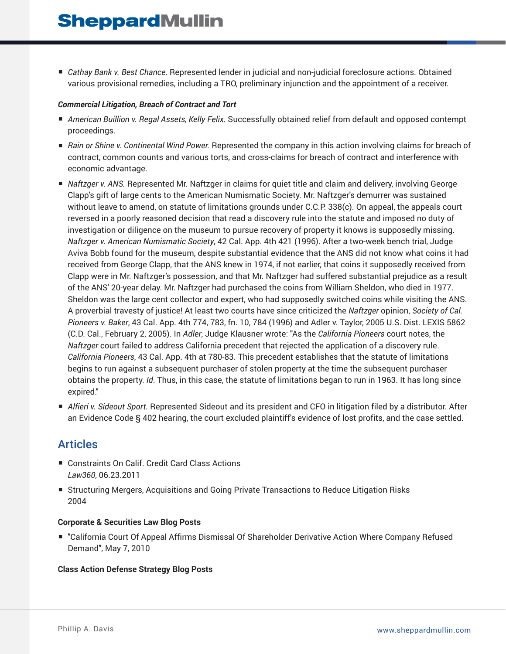■ *Cathay Bank v. Best Chance.* Represented lender in judicial and non-judicial foreclosure actions. Obtained various provisional remedies, including a TRO, preliminary injunction and the appointment of a receiver.

#### *Commercial Litigation, Breach of Contract and Tort*

- *American Buillion v. Regal Assets, Kelly Felix.* Successfully obtained relief from default and opposed contempt proceedings.
- *Rain or Shine v. Continental Wind Power.* Represented the company in this action involving claims for breach of contract, common counts and various torts, and cross-claims for breach of contract and interference with economic advantage.
- *Naftzger v. ANS.* Represented Mr. Naftzger in claims for quiet title and claim and delivery, involving George Clapp's gift of large cents to the American Numismatic Society. Mr. Naftzger's demurrer was sustained without leave to amend, on statute of limitations grounds under C.C.P. 338(c). On appeal, the appeals court reversed in a poorly reasoned decision that read a discovery rule into the statute and imposed no duty of investigation or diligence on the museum to pursue recovery of property it knows is supposedly missing. *Naftzger v. American Numismatic Society*, 42 Cal. App. 4th 421 (1996). After a two-week bench trial, Judge Aviva Bobb found for the museum, despite substantial evidence that the ANS did not know what coins it had received from George Clapp, that the ANS knew in 1974, if not earlier, that coins it supposedly received from Clapp were in Mr. Naftzger's possession, and that Mr. Naftzger had suffered substantial prejudice as a result of the ANS' 20-year delay. Mr. Naftzger had purchased the coins from William Sheldon, who died in 1977. Sheldon was the large cent collector and expert, who had supposedly switched coins while visiting the ANS. A proverbial travesty of justice! At least two courts have since criticized the *Naftzger* opinion, *Society of Cal. Pioneers v. Baker*, 43 Cal. App. 4th 774, 783, fn. 10, 784 (1996) and Adler v. Taylor, 2005 U.S. Dist. LEXIS 5862 (C.D. Cal., February 2, 2005). In *Adler*, Judge Klausner wrote: "As the *California Pioneers* court notes, the *Naftzger* court failed to address California precedent that rejected the application of a discovery rule. *California Pioneers*, 43 Cal. App. 4th at 780-83. This precedent establishes that the statute of limitations begins to run against a subsequent purchaser of stolen property at the time the subsequent purchaser obtains the property. *Id*. Thus, in this case, the statute of limitations began to run in 1963. It has long since expired."
- *Alfieri v. Sideout Sport.* Represented Sideout and its president and CFO in litigation filed by a distributor. After an Evidence Code § 402 hearing, the court excluded plaintiff's evidence of lost profits, and the case settled.

### Articles

- Constraints On Calif. Credit Card Class Actions *Law360*, 06.23.2011
- Structuring Mergers, Acquisitions and Going Private Transactions to Reduce Litigation Risks 2004

#### **Corporate & Securities Law Blog Posts**

■ "California Court Of Appeal Affirms Dismissal Of Shareholder Derivative Action Where Company Refused Demand", May 7, 2010

#### **Class Action Defense Strategy Blog Posts**